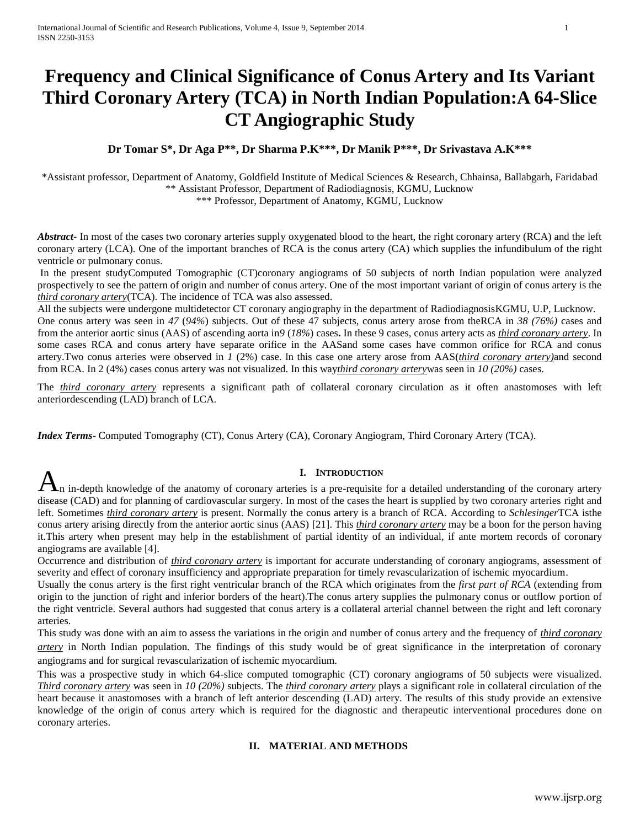# **Frequency and Clinical Significance of Conus Artery and Its Variant Third Coronary Artery (TCA) in North Indian Population:A 64-Slice CT Angiographic Study**

## **Dr Tomar S\*, Dr Aga P\*\*, Dr Sharma P.K\*\*\*, Dr Manik P\*\*\*, Dr Srivastava A.K\*\*\***

\*Assistant professor, Department of Anatomy, Goldfield Institute of Medical Sciences & Research, Chhainsa, Ballabgarh, Faridabad \*\* Assistant Professor, Department of Radiodiagnosis, KGMU, Lucknow

\*\*\* Professor, Department of Anatomy, KGMU, Lucknow

*Abstract* In most of the cases two coronary arteries supply oxygenated blood to the heart, the right coronary artery (RCA) and the left coronary artery (LCA). One of the important branches of RCA is the conus artery (CA) which supplies the infundibulum of the right ventricle or pulmonary conus.

In the present studyComputed Tomographic (CT)coronary angiograms of 50 subjects of north Indian population were analyzed prospectively to see the pattern of origin and number of conus artery. One of the most important variant of origin of conus artery is the *third coronary artery*(TCA). The incidence of TCA was also assessed.

All the subjects were undergone multidetector CT coronary angiography in the department of RadiodiagnosisKGMU, U.P, Lucknow. One conus artery was seen in *47* (*94%*) subjects. Out of these 47 subjects, conus artery arose from theRCA in *38 (76%)* cases and from the anterior aortic sinus (AAS) of ascending aorta in*9* (*18%*) cases**.** In these 9 cases, conus artery acts as *third coronary artery*. In some cases RCA and conus artery have separate orifice in the AASand some cases have common orifice for RCA and conus artery.Two conus arteries were observed in *1* (2%) case. In this case one artery arose from AAS(*third coronary artery)*and second from RCA. In 2 (4%) cases conus artery was not visualized. In this way*third coronary artery*was seen in *10 (20%)* cases.

The *third coronary artery* represents a significant path of collateral coronary circulation as it often anastomoses with left anteriordescending (LAD) branch of LCA.

*Index Terms*- Computed Tomography (CT), Conus Artery (CA), Coronary Angiogram, Third Coronary Artery (TCA).

## **I. INTRODUCTION**

**h** in-depth knowledge of the anatomy of coronary arteries is a pre-requisite for a detailed understanding of the coronary artery artery disease (CAD) and for planning of cardiovascular surgery. In most of the cases the heart is supplied by two coronary arteries right and left. Sometimes *third coronary artery* is present. Normally the conus artery is a branch of RCA. According to *Schlesinger*TCA isthe conus artery arising directly from the anterior aortic sinus (AAS) [21]. This *third coronary artery* may be a boon for the person having it.This artery when present may help in the establishment of partial identity of an individual, if ante mortem records of coronary angiograms are available [4].

Occurrence and distribution of *third coronary artery* is important for accurate understanding of coronary angiograms, assessment of severity and effect of coronary insufficiency and appropriate preparation for timely revascularization of ischemic myocardium.

Usually the conus artery is the first right ventricular branch of the RCA which originates from the *first part of RCA* (extending from origin to the junction of right and inferior borders of the heart).The conus artery supplies the pulmonary conus or outflow portion of the right ventricle. Several authors had suggested that conus artery is a collateral arterial channel between the right and left coronary arteries.

This study was done with an aim to assess the variations in the origin and number of conus artery and the frequency of *third coronary artery* in North Indian population. The findings of this study would be of great significance in the interpretation of coronary angiograms and for surgical revascularization of ischemic myocardium.

This was a prospective study in which 64-slice computed tomographic (CT) coronary angiograms of 50 subjects were visualized. *Third coronary artery* was seen in *10 (20%)* subjects. The *third coronary artery* plays a significant role in collateral circulation of the heart because it anastomoses with a branch of left anterior descending (LAD) artery. The results of this study provide an extensive knowledge of the origin of conus artery which is required for the diagnostic and therapeutic interventional procedures done on coronary arteries.

## **II. MATERIAL AND METHODS**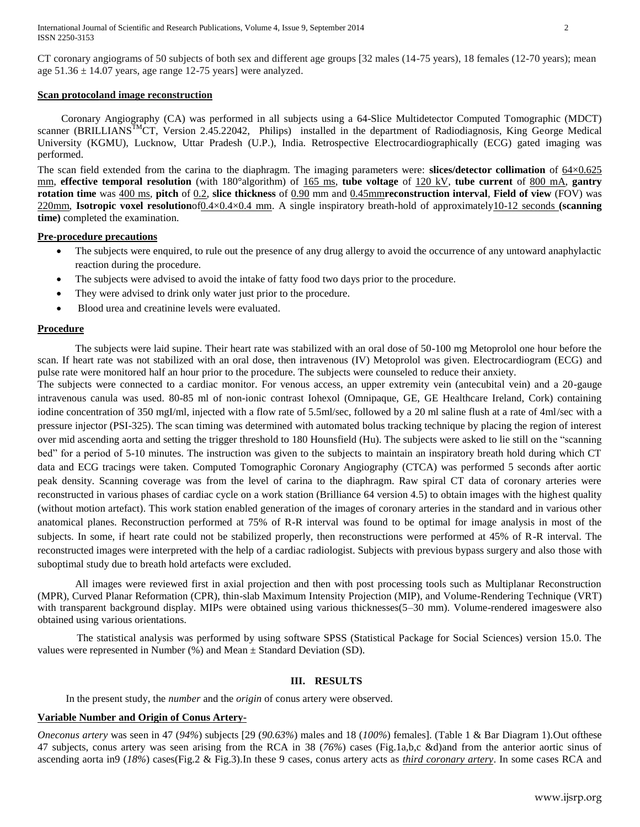CT coronary angiograms of 50 subjects of both sex and different age groups [32 males (14-75 years), 18 females (12-70 years); mean age  $51.36 \pm 14.07$  years, age range 12-75 years] were analyzed.

#### **Scan protocoland image reconstruction**

 Coronary Angiography (CA) was performed in all subjects using a 64-Slice Multidetector Computed Tomographic (MDCT) scanner (BRILLIANS<sup>TM</sup>CT, Version 2.45.22042, Philips) installed in the department of Radiodiagnosis, King George Medical University (KGMU), Lucknow, Uttar Pradesh (U.P.), India. Retrospective Electrocardiographically (ECG) gated imaging was performed.

The scan field extended from the carina to the diaphragm. The imaging parameters were: **slices/detector collimation** of 64×0.625 mm, **effective temporal resolution** (with 180°algorithm) of 165 ms, **tube voltage** of 120 kV, **tube current** of 800 mA, **gantry rotation time** was 400 ms, **pitch** of 0.2, **slice thickness** of 0.90 mm and 0.45mm**reconstruction interval**, **Field of view** (FOV) was 220mm, **Isotropic voxel resolution**of0.4×0.4×0.4 mm. A single inspiratory breath-hold of approximately10-12 seconds **(scanning time)** completed the examination.

#### **Pre-procedure precautions**

- The subjects were enquired, to rule out the presence of any drug allergy to avoid the occurrence of any untoward anaphylactic reaction during the procedure.
- The subjects were advised to avoid the intake of fatty food two days prior to the procedure.
- They were advised to drink only water just prior to the procedure.
- Blood urea and creatinine levels were evaluated.

## **Procedure**

The subjects were laid supine. Their heart rate was stabilized with an oral dose of 50-100 mg Metoprolol one hour before the scan. If heart rate was not stabilized with an oral dose, then intravenous (IV) Metoprolol was given. Electrocardiogram (ECG) and pulse rate were monitored half an hour prior to the procedure. The subjects were counseled to reduce their anxiety.

The subjects were connected to a cardiac monitor. For venous access, an upper extremity vein (antecubital vein) and a 20-gauge intravenous canula was used. 80-85 ml of non-ionic contrast Iohexol (Omnipaque, GE, GE Healthcare Ireland, Cork) containing iodine concentration of 350 mgI/ml, injected with a flow rate of 5.5ml/sec, followed by a 20 ml saline flush at a rate of 4ml/sec with a pressure injector (PSI-325). The scan timing was determined with automated bolus tracking technique by placing the region of interest over mid ascending aorta and setting the trigger threshold to 180 Hounsfield (Hu). The subjects were asked to lie still on the "scanning bed" for a period of 5-10 minutes. The instruction was given to the subjects to maintain an inspiratory breath hold during which CT data and ECG tracings were taken. Computed Tomographic Coronary Angiography (CTCA) was performed 5 seconds after aortic peak density. Scanning coverage was from the level of carina to the diaphragm. Raw spiral CT data of coronary arteries were reconstructed in various phases of cardiac cycle on a work station (Brilliance 64 version 4.5) to obtain images with the highest quality (without motion artefact). This work station enabled generation of the images of coronary arteries in the standard and in various other anatomical planes. Reconstruction performed at 75% of R-R interval was found to be optimal for image analysis in most of the subjects. In some, if heart rate could not be stabilized properly, then reconstructions were performed at 45% of R-R interval. The reconstructed images were interpreted with the help of a cardiac radiologist. Subjects with previous bypass surgery and also those with suboptimal study due to breath hold artefacts were excluded.

All images were reviewed first in axial projection and then with post processing tools such as Multiplanar Reconstruction (MPR), Curved Planar Reformation (CPR), thin-slab Maximum Intensity Projection (MIP), and Volume-Rendering Technique (VRT) with transparent background display. MIPs were obtained using various thicknesses(5–30 mm). Volume-rendered imageswere also obtained using various orientations.

 The statistical analysis was performed by using software SPSS (Statistical Package for Social Sciences) version 15.0. The values were represented in Number  $(\%)$  and Mean  $\pm$  Standard Deviation (SD).

## **III. RESULTS**

In the present study, the *number* and the *origin* of conus artery were observed.

## **Variable Number and Origin of Conus Artery-**

*Oneconus artery* was seen in 47 (*94%*) subjects [29 (*90.63%*) males and 18 (*100%*) females]. (Table 1 & Bar Diagram 1).Out ofthese 47 subjects, conus artery was seen arising from the RCA in 38 (*76%*) cases (Fig.1a,b,c &d)and from the anterior aortic sinus of ascending aorta in9 (*18%*) cases(Fig.2 & Fig.3).In these 9 cases, conus artery acts as *third coronary artery*. In some cases RCA and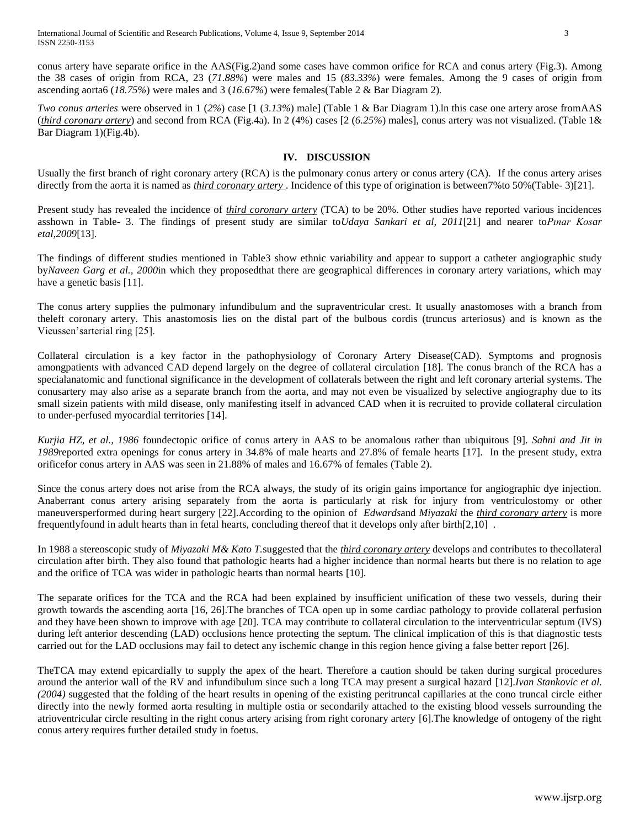conus artery have separate orifice in the AAS(Fig.2)and some cases have common orifice for RCA and conus artery (Fig.3). Among the 38 cases of origin from RCA, 23 (*71.88%*) were males and 15 (*83.33%*) were females. Among the 9 cases of origin from ascending aorta6 (*18.75%*) were males and 3 (*16.67%*) were females(Table 2 & Bar Diagram 2).

*Two conus arteries* were observed in 1 (*2%*) case [1 (*3.13%*) male] (Table 1 & Bar Diagram 1).In this case one artery arose fromAAS (*third coronary artery*) and second from RCA (Fig.4a). In 2 (4%) cases [2 (*6.25%*) males], conus artery was not visualized. (Table 1& Bar Diagram 1)(Fig.4b).

#### **IV. DISCUSSION**

Usually the first branch of right coronary artery (RCA) is the pulmonary conus artery or conus artery (CA). If the conus artery arises directly from the aorta it is named as *third coronary artery* . Incidence of this type of origination is between7%to 50%(Table- 3)[21].

Present study has revealed the incidence of *third coronary artery* (TCA) to be 20%. Other studies have reported various incidences asshown in Table- 3. The findings of present study are similar to*Udaya Sankari et al, 2011*[21] and nearer to*Pınar Kosar etal,2009*[13].

The findings of different studies mentioned in Table3 show ethnic variability and appear to support a catheter angiographic study by*Naveen Garg et al., 2000*in which they proposedthat there are geographical differences in coronary artery variations, which may have a genetic basis [11].

The conus artery supplies the pulmonary infundibulum and the supraventricular crest. It usually anastomoses with a branch from theleft coronary artery. This anastomosis lies on the distal part of the bulbous cordis (truncus arteriosus) and is known as the Vieussen'sarterial ring [25].

Collateral circulation is a key factor in the pathophysiology of Coronary Artery Disease(CAD). Symptoms and prognosis amongpatients with advanced CAD depend largely on the degree of collateral circulation [18]. The conus branch of the RCA has a specialanatomic and functional significance in the development of collaterals between the right and left coronary arterial systems. The conusartery may also arise as a separate branch from the aorta, and may not even be visualized by selective angiography due to its small sizein patients with mild disease, only manifesting itself in advanced CAD when it is recruited to provide collateral circulation to under-perfused myocardial territories [14].

*[Kurjia HZ,](http://www.ncbi.nlm.nih.gov/pubmed?term=%22Kurjia%20HZ%22%5BAuthor%5D) et al., 1986* foundectopic orifice of conus artery in AAS to be anomalous rather than ubiquitous [9]. *Sahni and Jit in 1989*reported extra openings for conus artery in 34.8% of male hearts and 27.8% of female hearts [17]. In the present study, extra orificefor conus artery in AAS was seen in 21.88% of males and 16.67% of females (Table 2).

Since the conus artery does not arise from the RCA always, the study of its origin gains importance for angiographic dye injection. Anaberrant conus artery arising separately from the aorta is particularly at risk for injury from ventriculostomy or other maneuversperformed during heart surgery [22].According to the opinion of *Edwards*and *Miyazaki* the *third coronary artery* is more frequentlyfound in adult hearts than in fetal hearts, concluding thereof that it develops only after birth[2,10] .

In 1988 a stereoscopic study of *[Miyazaki M&](http://www.ncbi.nlm.nih.gov/pubmed?term=%22Miyazaki%20M%22%5BAuthor%5D) Kato T.*suggested that the *third coronary artery* develops and contributes to thecollateral circulation after birth. They also found that pathologic hearts had a higher incidence than normal hearts but there is no relation to age and the orifice of TCA was wider in pathologic hearts than normal hearts [10].

The separate orifices for the TCA and the RCA had been explained by insufficient unification of these two vessels, during their growth towards the ascending aorta [16, 26].The branches of TCA open up in some cardiac pathology to provide collateral perfusion and they have been shown to improve with age [20]. TCA may contribute to collateral circulation to the interventricular septum (IVS) during left anterior descending (LAD) occlusions hence protecting the septum. The clinical implication of this is that diagnostic tests carried out for the LAD occlusions may fail to detect any ischemic change in this region hence giving a false better report [26].

TheTCA may extend epicardially to supply the apex of the heart. Therefore a caution should be taken during surgical procedures around the anterior wall of the RV and infundibulum since such a long TCA may present a surgical hazard [12].*Ivan Stankovic et al. (2004)* suggested that the folding of the heart results in opening of the existing peritruncal capillaries at the cono truncal circle either directly into the newly formed aorta resulting in multiple ostia or secondarily attached to the existing blood vessels surrounding the atrioventricular circle resulting in the right conus artery arising from right coronary artery [6].The knowledge of ontogeny of the right conus artery requires further detailed study in foetus.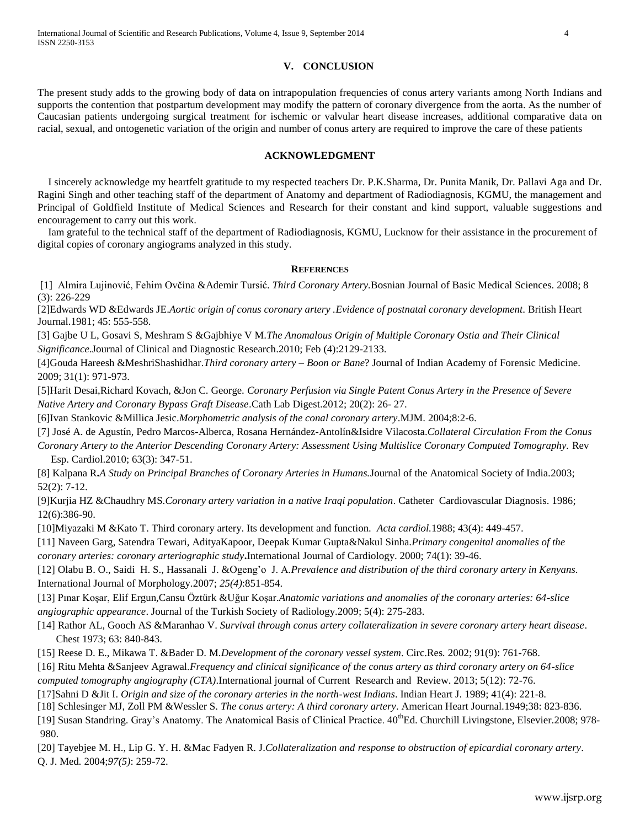## **V. CONCLUSION**

The present study adds to the growing body of data on intrapopulation frequencies of conus artery variants among North Indians and supports the contention that postpartum development may modify the pattern of coronary divergence from the aorta. As the number of Caucasian patients undergoing surgical treatment for ischemic or valvular heart disease increases, additional comparative data on racial, sexual, and ontogenetic variation of the origin and number of conus artery are required to improve the care of these patients

## **ACKNOWLEDGMENT**

I sincerely acknowledge my heartfelt gratitude to my respected teachers Dr. P.K.Sharma, Dr. Punita Manik, Dr. Pallavi Aga and Dr. Ragini Singh and other teaching staff of the department of Anatomy and department of Radiodiagnosis, KGMU, the management and Principal of Goldfield Institute of Medical Sciences and Research for their constant and kind support, valuable suggestions and encouragement to carry out this work.

 Iam grateful to the technical staff of the department of Radiodiagnosis, KGMU, Lucknow for their assistance in the procurement of digital copies of coronary angiograms analyzed in this study.

#### **REFERENCES**

[1] Almira Lujinović, Fehim Ovčina &Ademir Tursić. *Third Coronary Artery.*Bosnian Journal of Basic Medical Sciences. 2008; 8 (3): 226-229

[2]Edwards WD &Edwards JE.*Aortic origin of conus coronary artery .Evidence of postnatal coronary development*. British Heart Journal.1981; 45: 555-558.

[3] Gajbe U L, Gosavi S, Meshram S &Gajbhiye V M.*The Anomalous Origin of Multiple Coronary Ostia and Their Clinical Significance*.Journal of Clinical and Diagnostic Research.2010; Feb (4):2129-2133.

[4]Gouda Hareesh &MeshriShashidhar.*Third coronary artery – Boon or Bane*? Journal of Indian Academy of Forensic Medicine. 2009; 31(1): 971-973.

[5]Harit Desai,Richard Kovach, &Jon C. George. *Coronary Perfusion via Single Patent Conus Artery in the Presence of Severe Native Artery and Coronary Bypass Graft Disease*.Cath Lab Digest.2012; [20\(2\):](http://www.cathlabdigest.com/issue/7212) 26- 27.

[6]Ivan Stankovic &Millica Jesic.*Morphometric analysis of the conal coronary artery*.MJM. 2004;8:2-6.

[7] José A. de Agustín, Pedro Marcos-Alberca, Rosana Hernández-Antolín&Isidre Vilacosta.*Collateral Circulation From the Conus Coronary Artery to the Anterior Descending Coronary Artery: Assessment Using Multislice Coronary Computed Tomography.* Rev

Esp. Cardiol.2010; 63(3): 347-51.

[8] Kalpana R**.***A Study on Principal Branches of Coronary Arteries in Humans.*Journal of the Anatomical Society of India.2003; 52(2): 7-12.

[9]Kurjia HZ &Chaudhry MS.*Coronary artery variation in a native Iraqi population*. Catheter Cardiovascular Diagnosis. 1986; 12(6):386-90.

[10]Miyazaki M &Kato T. Third coronary artery. Its development and function. *Acta cardiol.*1988; 43(4): 449-457.

[11] [Naveen](http://www.internationaljournalofcardiology.com/article/S0167-5273(00)00243-6/abstract) Garg, [Satendra](http://www.internationaljournalofcardiology.com/article/S0167-5273(00)00243-6/abstract) Tewari, [AdityaKapoor, Deepak Kumar](http://www.internationaljournalofcardiology.com/article/S0167-5273(00)00243-6/abstract) Gupta[&Nakul](http://www.internationaljournalofcardiology.com/article/S0167-5273(00)00243-6/abstract) Sinha.*Primary congenital anomalies of the coronary arteries: coronary arteriographic study***.**International Journal of Cardiolog[y. 2000; 74\(1\)](http://www.internationaljournalofcardiology.com/issues?issue_key=S0167-5273(00)X0086-1): 39-46.

[12] Olabu B. O., Saidi H. S., Hassanali J. &Ogeng'o J. A.*Prevalence and distribution of the third coronary artery in Kenyans*. International Journal of Morphology*.*2007; *25(4)*:851-854.

[13] Pınar Koşar, Elif Ergun,Cansu Öztürk &Uğur Koşar.*Anatomic variations and anomalies of the coronary arteries: 64-slice angiographic appearance*. Journal of the Turkish Society of Radiology.2009; 5(4): 275-283.

[14] Rathor AL, Gooch AS &Maranhao V. *Survival through conus artery collateralization in severe coronary artery heart disease*. Chest 1973; 63: 840-843.

[15] Reese D. E., Mikawa T. &Bader D. M.*Development of the coronary vessel system*. Circ.Res*.* 2002; 91(9): 761-768.

[16] Ritu Mehta &Sanjeev Agrawal.*Frequency and clinical significance of the conus artery as third coronary artery on 64-slice computed tomography angiography (CTA)*.International journal of Current Research and Review. 2013; 5(12): 72-76.

[17]Sahni D &Jit I. *Origin and size of the coronary arteries in the north-west Indians*. Indian Heart J. 1989; 41(4): 221-8.

[18] Schlesinger MJ, Zoll PM &Wessler S. *The conus artery: A third coronary artery*. American Heart Journal*.*1949;38: 823-836.

[19] Susan Standring. Gray's Anatomy. The Anatomical Basis of Clinical Practice.  $40^{th}$ Ed. Churchill Livingstone, Elsevier. 2008; 978-980.

[20] Tayebjee M. H., Lip G. Y. H. &Mac Fadyen R. J.*Collateralization and response to obstruction of epicardial coronary artery*. Q. J. Med*.* 2004;*97(5)*: 259-72.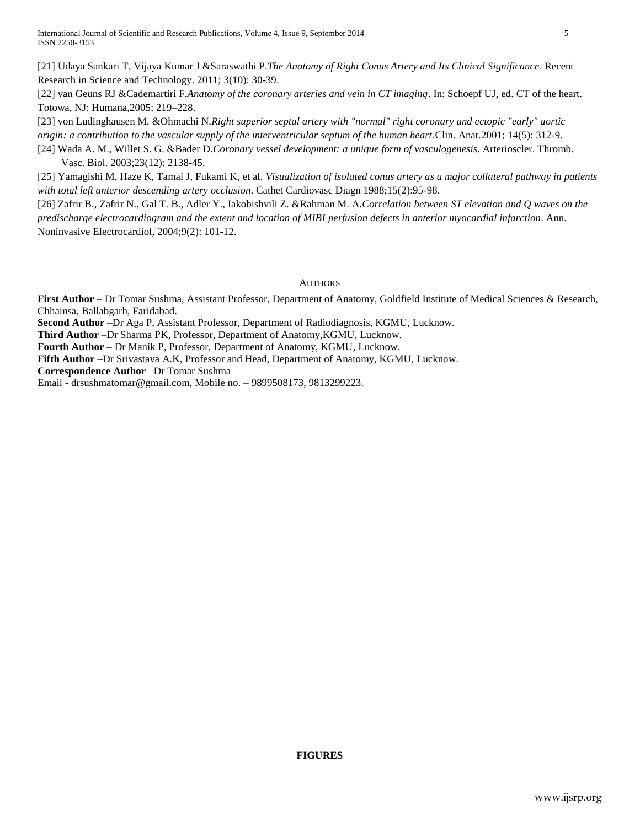[21] Udaya Sankari T, Vijaya Kumar J &Saraswathi P.*The Anatomy of Right Conus Artery and Its Clinical Significance*. Recent Research in Science and Technology. 2011; 3(10): 30-39.

[22] van Geuns RJ &Cademartiri F.*Anatomy of the coronary arteries and vein in CT imaging*. In: Schoepf UJ, ed. CT of the heart. Totowa, NJ: Humana,2005; 219–228.

[23] von Ludinghausen M. &Ohmachi N.*Right superior septal artery with "normal" right coronary and ectopic "early" aortic origin: a contribution to the vascular supply of the interventricular septum of the human heart*.Clin. Anat.2001; 14(5): 312-9.

[24] Wada A. M., Willet S. G. &Bader D.*Coronary vessel development: a unique form of vasculogenesis*. Arterioscler. Thromb. Vasc. Biol. 2003;23(12): 2138-45.

[25] Yamagishi M, Haze K, Tamai J, Fukami K, et al. *Visualization of isolated conus artery as a major collateral pathway in patients with total left anterior descending artery occlusion*. Cathet Cardiovasc Diagn 1988;15(2):95-98.

[26] Zafrir B., Zafrir N., Gal T. B., Adler Y., Iakobishvili Z. &Rahman M. A.*Correlation between ST elevation and Q waves on the predischarge electrocardiogram and the extent and location of MIBI perfusion defects in anterior myocardial infarction*. Ann. Noninvasive Electrocardiol, 2004;9(2): 101-12.

## AUTHORS

**First Author** – Dr Tomar Sushma, Assistant Professor, Department of Anatomy, Goldfield Institute of Medical Sciences & Research, Chhainsa, Ballabgarh, Faridabad.

**Second Author** –Dr Aga P, Assistant Professor, Department of Radiodiagnosis, KGMU, Lucknow.

**Third Author** –Dr Sharma PK, Professor, Department of Anatomy,KGMU, Lucknow.

**Fourth Author** – Dr Manik P, Professor, Department of Anatomy, KGMU, Lucknow.

**Fifth Author** –Dr Srivastava A.K, Professor and Head, Department of Anatomy, KGMU, Lucknow.

**Correspondence Author** –Dr Tomar Sushma

Email - drsushmatomar@gmail.com, Mobile no. – 9899508173, 9813299223.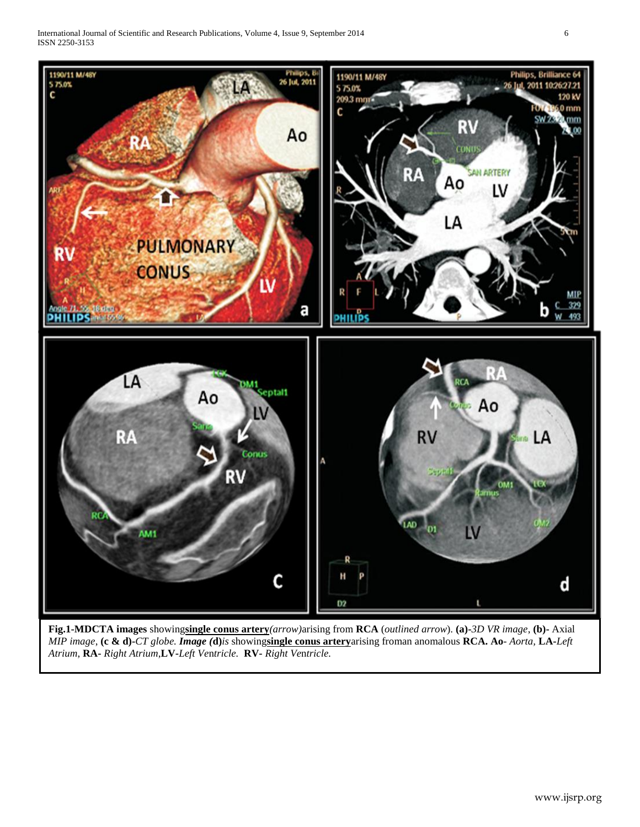International Journal of Scientific and Research Publications, Volume 4, Issue 9, September 2014 6 ISSN 2250-3153



**Fig.1-MDCTA images** showing**single conus artery***(arrow)*arising from **RCA** (*outlined arrow*). **(a)-***3D VR image*, **(b)-** Axial *MIP image*, **(c & d)-***CT globe. Image (***d)***is* showing**single conus artery**arising froman anomalous **RCA. Ao**- *Aorta,* **LA-***Left Atrium*, **RA-** *Right Atrium*,**LV-***Left Ve*n*tricle.* **RV-** *Right Ve*n*tricle.*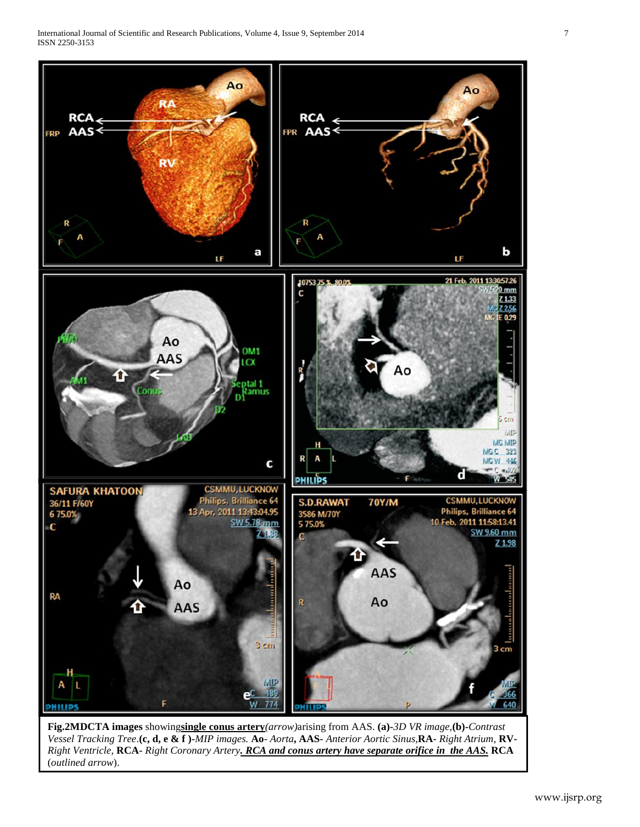

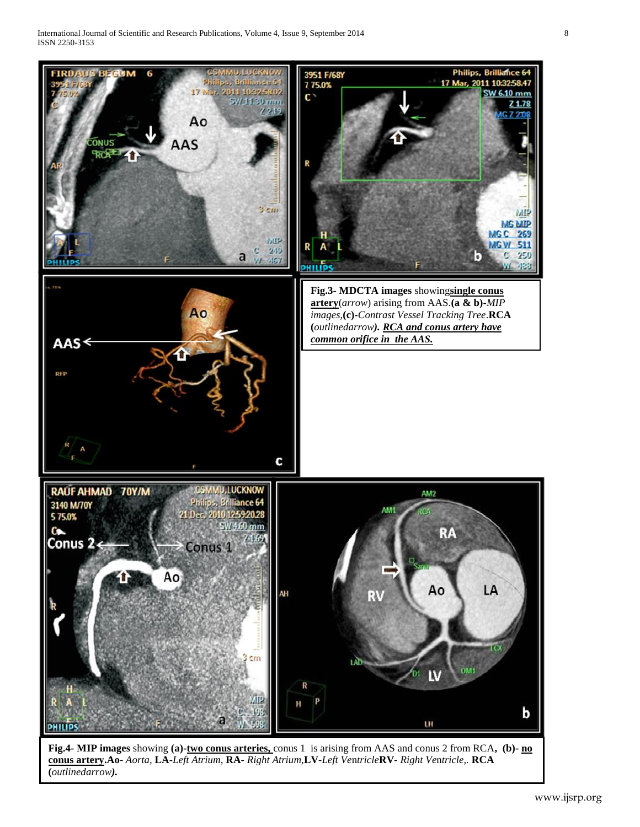

**Fig.4- MIP images** showing **(a)-two conus arteries,** conus 1 is arising from AAS and conus 2 from RCA**, (b)- no conus artery.Ao**- *Aorta,* **LA-***Left Atrium*, **RA-** *Right Atrium*,**LV-***Left Ve*n*tricle***RV-** *Right Ve*n*tricle,.* **RCA (***outlinedarrow).*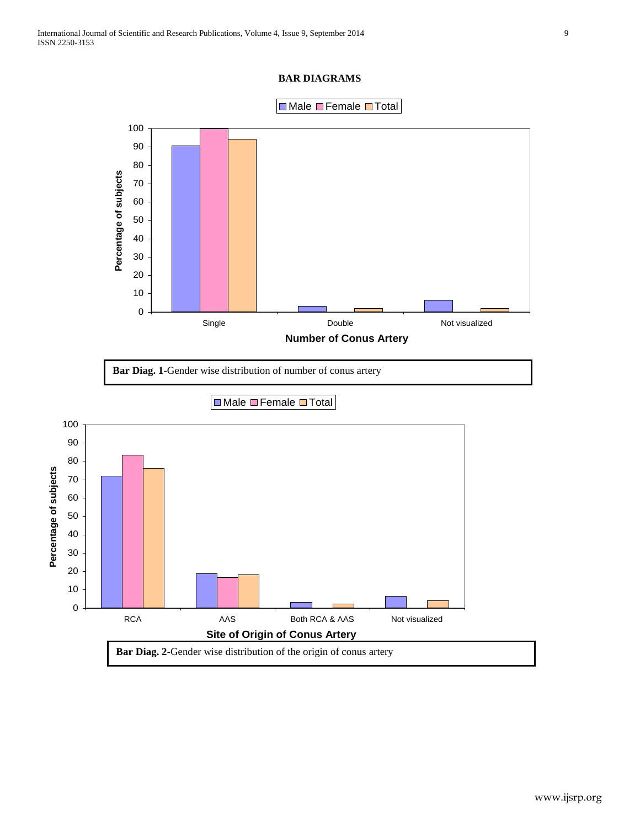## **BAR DIAGRAMS**



**Bar Diag. 1-**Gender wise distribution of number of conus artery

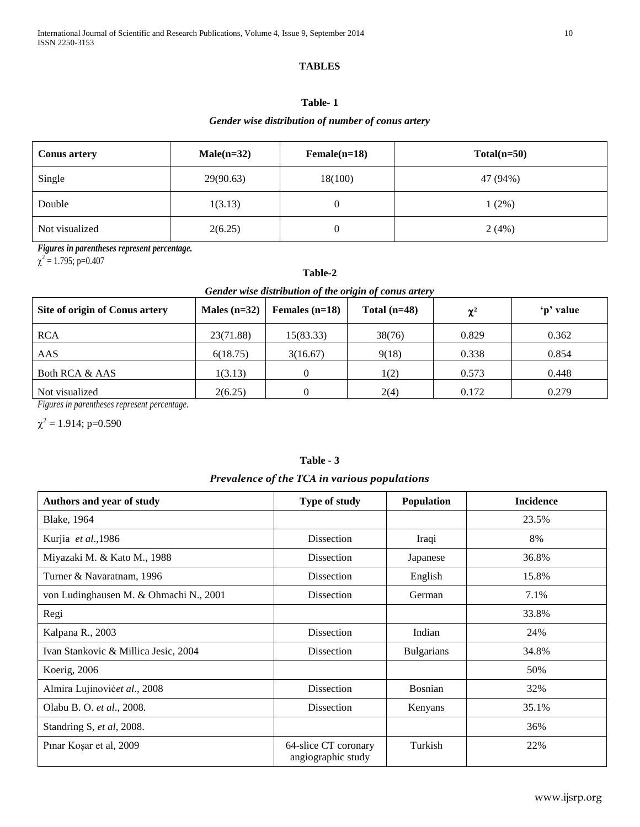## **TABLES**

# **Table- 1**

## *Gender wise distribution of number of conus artery*

| <b>Conus artery</b> | $Male(n=32)$ | $Female(n=18)$ | $Total(n=50)$ |
|---------------------|--------------|----------------|---------------|
| Single              | 29(90.63)    | 18(100)        | 47 (94%)      |
| Double              | 1(3.13)      | 0              | $1(2\%)$      |
| Not visualized      | 2(6.25)      | 0              | 2(4%)         |

*Figures in parentheses represent percentage.*

 $\chi^2$  = 1.795; p=0.407

## **Table-2**

## *Gender wise distribution of the origin of conus artery*

| Site of origin of Conus artery | Males $(n=32)$ | Females $(n=18)$ | Total $(n=48)$ | $\chi^2$ | 'p' value |
|--------------------------------|----------------|------------------|----------------|----------|-----------|
| <b>RCA</b>                     | 23(71.88)      | 15(83.33)        | 38(76)         | 0.829    | 0.362     |
| AAS                            | 6(18.75)       | 3(16.67)         | 9(18)          | 0.338    | 0.854     |
| Both RCA & AAS                 | 1(3.13)        |                  | 1(2)           | 0.573    | 0.448     |
| Not visualized                 | 2(6.25)        |                  | 2(4)           | 0.172    | 0.279     |

*Figures in parentheses represent percentage.* 

 $\chi^2$  = 1.914; p=0.590

## **Table - 3**

## *Prevalence of the TCA in various populations*

| Authors and year of study              | Type of study                              | Population        | <b>Incidence</b> |
|----------------------------------------|--------------------------------------------|-------------------|------------------|
| <b>Blake</b> , 1964                    |                                            |                   | 23.5%            |
| Kurjia et al., 1986                    | Dissection                                 | Iraqi             | 8%               |
| Miyazaki M. & Kato M., 1988            | Dissection                                 | Japanese          | 36.8%            |
| Turner & Navaratnam, 1996              | Dissection                                 | English           | 15.8%            |
| von Ludinghausen M. & Ohmachi N., 2001 | Dissection                                 | German            | 7.1%             |
| Regi                                   |                                            |                   | 33.8%            |
| Kalpana R., 2003                       | Dissection                                 | Indian            | 24%              |
| Ivan Stankovic & Millica Jesic, 2004   | Dissection                                 | <b>Bulgarians</b> | 34.8%            |
| Koerig, 2006                           |                                            |                   | 50%              |
| Almira Lujinovićet al., 2008           | <b>Dissection</b>                          | <b>Bosnian</b>    | 32%              |
| Olabu B. O. et al., 2008.              | Dissection                                 | Kenyans           | 35.1%            |
| Standring S, et al, 2008.              |                                            |                   | 36%              |
| Pinar Koşar et al, 2009                | 64-slice CT coronary<br>angiographic study | Turkish           | 22%              |